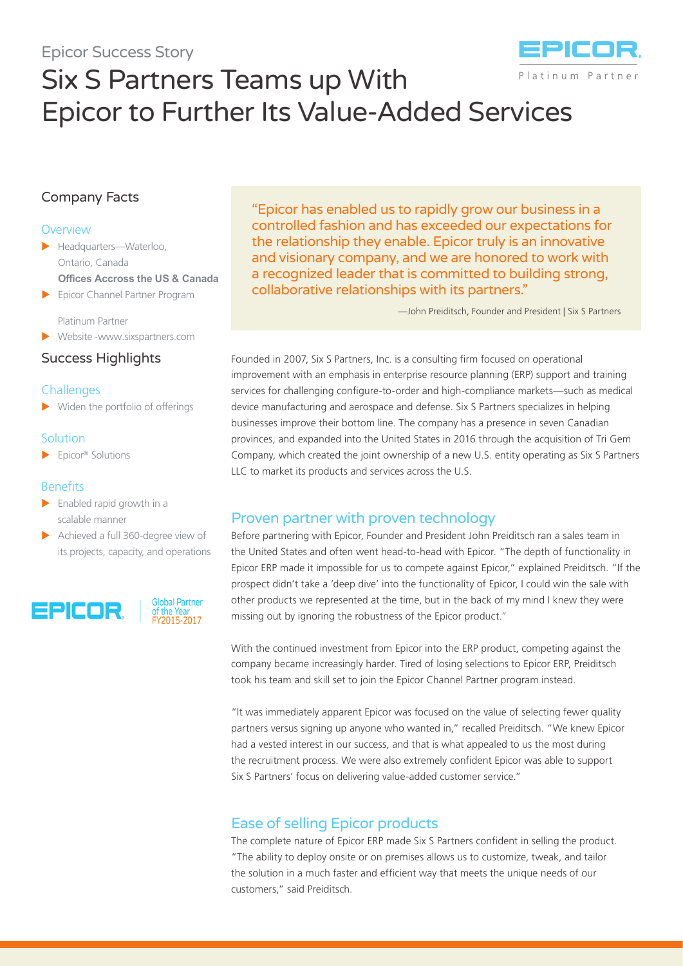# Epicor Success Story



# Six S Partners Teams up With Epicor to Further Its Value-Added Services

## Company Facts

#### **Overview**

- **X** Headquarters—Waterloo, Ontario, Canada
- **Offices Accross the US & Canada Epicor Channel Partner Program**
- 

Platinum Partner

 $\blacktriangleright$  Website -www.sixspartners.com

#### Success Highlights

#### **Challenges**

 $\blacktriangleright$  Widen the portfolio of offerings

#### **Solution**

 $\blacktriangleright$  Epicor® Solutions

#### **Benefits**

- $\blacktriangleright$  Enabled rapid growth in a scalable manner
- $\triangleright$  Achieved a full 360-degree view of its projects, capacity, and operations

**Global Partner** 



"Epicor has enabled us to rapidly grow our business in a controlled fashion and has exceeded our expectations for the relationship they enable. Epicor truly is an innovative and visionary company, and we are honored to work with a recognized leader that is committed to building strong, collaborative relationships with its partners."

—John Preiditsch, Founder and President | Six S Partners

Founded in 2007, Six S Partners, Inc. is a consulting firm focused on operational improvement with an emphasis in enterprise resource planning (ERP) support and training services for challenging configure-to-order and high-compliance markets—such as medical device manufacturing and aerospace and defense. Six S Partners specializes in helping businesses improve their bottom line. The company has a presence in seven Canadian provinces, and expanded into the United States in 2016 through the acquisition of Tri Gem Company, which created the joint ownership of a new U.S. entity operating as Six S Partners LLC to market its products and services across the U.S.

## Proven partner with proven technology

Before partnering with Epicor, Founder and President John Preiditsch ran a sales team in the United States and often went head-to-head with Epicor. "The depth of functionality in Epicor ERP made it impossible for us to compete against Epicor," explained Preiditsch. "If the prospect didn't take a 'deep dive' into the functionality of Epicor, I could win the sale with other products we represented at the time, but in the back of my mind I knew they were missing out by ignoring the robustness of the Epicor product."

With the continued investment from Epicor into the ERP product, competing against the company became increasingly harder. Tired of losing selections to Epicor ERP, Preiditsch took his team and skill set to join the Epicor Channel Partner program instead.

"It was immediately apparent Epicor was focused on the value of selecting fewer quality partners versus signing up anyone who wanted in," recalled Preiditsch. "We knew Epicor had a vested interest in our success, and that is what appealed to us the most during the recruitment process. We were also extremely confident Epicor was able to support Six S Partners' focus on delivering value-added customer service."

# Ease of selling Epicor products

The complete nature of Epicor ERP made Six S Partners confident in selling the product. "The ability to deploy onsite or on premises allows us to customize, tweak, and tailor the solution in a much faster and efficient way that meets the unique needs of our customers," said Preiditsch.